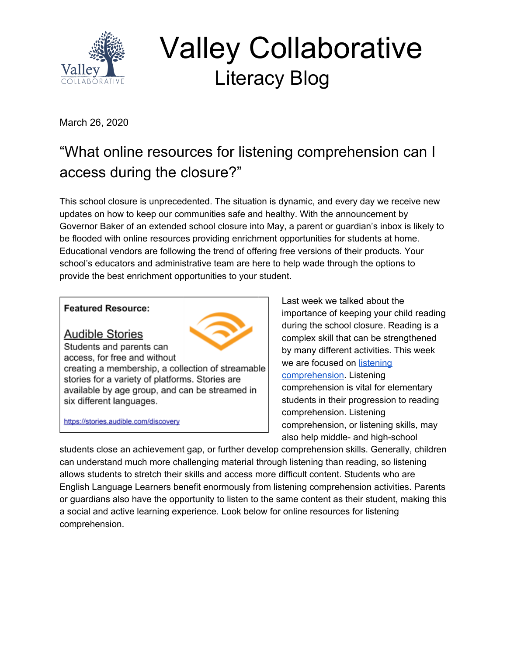

 Valley Collaborative Literacy Blog

March 26, 2020

# "What online resources for listening comprehension can I access during the closure?"

This school closure is unprecedented. The situation is dynamic, and every day we receive new updates on how to keep our communities safe and healthy. With the announcement by Governor Baker of an extended school closure into May, a parent or guardian's inbox is likely to be flooded with online resources providing enrichment opportunities for students at home. Educational vendors are following the trend of offering free versions of their products. Your school's educators and administrative team are here to help wade through the options to provide the best enrichment opportunities to your student.

#### **Featured Resource:**

**Audible Stories** 



Students and parents can access, for free and without

creating a membership, a collection of streamable stories for a variety of platforms. Stories are available by age group, and can be streamed in six different languages.

https://stories.audible.com/discovery

Last week we talked about the importance of keeping your child reading during the school closure. Reading is a complex skill that can be strengthened by many different activities. This week we are focused on [listening](https://keystoliteracy.com/blog/listening-reading-comprehension-link/) [comprehension.](https://keystoliteracy.com/blog/listening-reading-comprehension-link/) Listening comprehension is vital for elementary students in their progression to reading comprehension. Listening comprehension, or listening skills, may also help middle- and high-school

students close an achievement gap, or further develop comprehension skills. Generally, children can understand much more challenging material through listening than reading, so listening allows students to stretch their skills and access more difficult content. Students who are English Language Learners benefit enormously from listening comprehension activities. Parents or guardians also have the opportunity to listen to the same content as their student, making this a social and active learning experience. Look below for online resources for listening comprehension.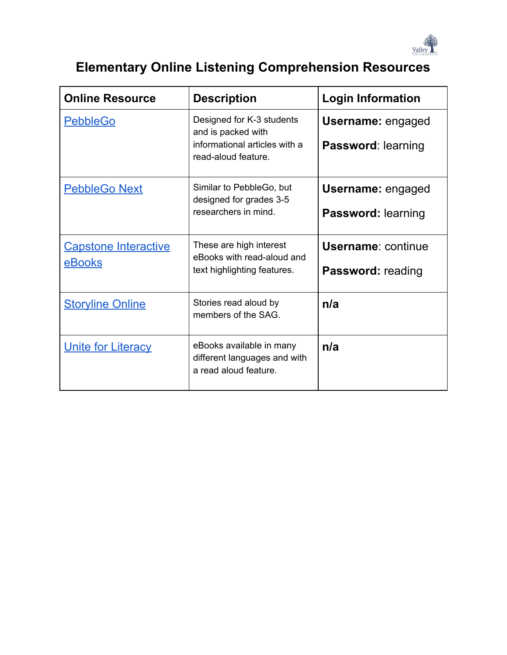

## **Elementary Online Listening Comprehension Resources**

| <b>Online Resource</b>                | <b>Description</b>                                                                                      | <b>Login Information</b>                              |
|---------------------------------------|---------------------------------------------------------------------------------------------------------|-------------------------------------------------------|
| <b>PebbleGo</b>                       | Designed for K-3 students<br>and is packed with<br>informational articles with a<br>read-aloud feature. | <b>Username: engaged</b><br><b>Password: learning</b> |
| <b>PebbleGo Next</b>                  | Similar to PebbleGo, but<br>designed for grades 3-5<br>researchers in mind.                             | <b>Username: engaged</b><br><b>Password: learning</b> |
| <b>Capstone Interactive</b><br>eBooks | These are high interest<br>eBooks with read-aloud and<br>text highlighting features.                    | <b>Username: continue</b><br><b>Password: reading</b> |
| <b>Storyline Online</b>               | Stories read aloud by<br>members of the SAG.                                                            | n/a                                                   |
| <b>Unite for Literacy</b>             | eBooks available in many<br>different languages and with<br>a read aloud feature.                       | n/a                                                   |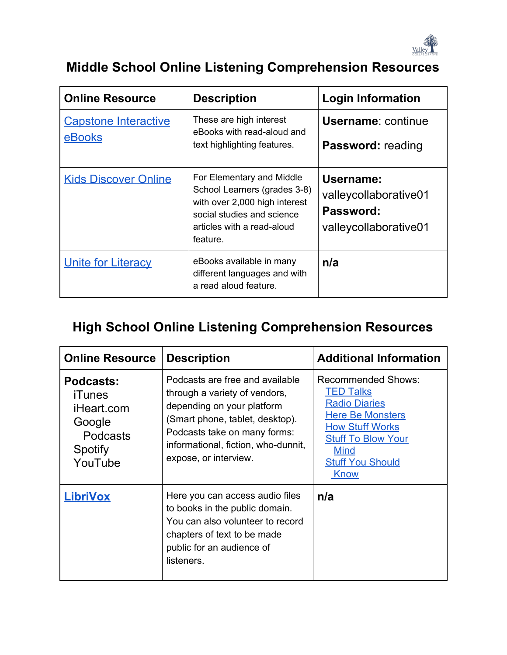

#### **Middle School Online Listening Comprehension Resources**

| <b>Online Resource</b>                | <b>Description</b>                                                                                                                                                 | <b>Login Information</b>                                                 |
|---------------------------------------|--------------------------------------------------------------------------------------------------------------------------------------------------------------------|--------------------------------------------------------------------------|
| <b>Capstone Interactive</b><br>eBooks | These are high interest<br>eBooks with read-aloud and<br>text highlighting features.                                                                               | <b>Username: continue</b><br><b>Password: reading</b>                    |
| <b>Kids Discover Online</b>           | For Elementary and Middle<br>School Learners (grades 3-8)<br>with over 2,000 high interest<br>social studies and science<br>articles with a read-aloud<br>feature. | Username:<br>valleycollaborative01<br>Password:<br>valleycollaborative01 |
| <b>Unite for Literacy</b>             | eBooks available in many<br>different languages and with<br>a read aloud feature.                                                                                  | n/a                                                                      |

### **High School Online Listening Comprehension Resources**

| <b>Online Resource</b>                                                                      | <b>Description</b>                                                                                                                                                                                                                | <b>Additional Information</b>                                                                                                                                                                      |
|---------------------------------------------------------------------------------------------|-----------------------------------------------------------------------------------------------------------------------------------------------------------------------------------------------------------------------------------|----------------------------------------------------------------------------------------------------------------------------------------------------------------------------------------------------|
| <b>Podcasts:</b><br>iTunes<br>iHeart.com<br>Google<br><b>Podcasts</b><br>Spotify<br>YouTube | Podcasts are free and available<br>through a variety of vendors,<br>depending on your platform<br>(Smart phone, tablet, desktop).<br>Podcasts take on many forms:<br>informational, fiction, who-dunnit,<br>expose, or interview. | Recommended Shows:<br><b>TED Talks</b><br><b>Radio Diaries</b><br><b>Here Be Monsters</b><br><b>How Stuff Works</b><br><b>Stuff To Blow Your</b><br><b>Mind</b><br><b>Stuff You Should</b><br>Know |
| <b>LibriVox</b>                                                                             | Here you can access audio files<br>to books in the public domain.<br>You can also volunteer to record<br>chapters of text to be made<br>public for an audience of<br>listeners.                                                   | n/a                                                                                                                                                                                                |